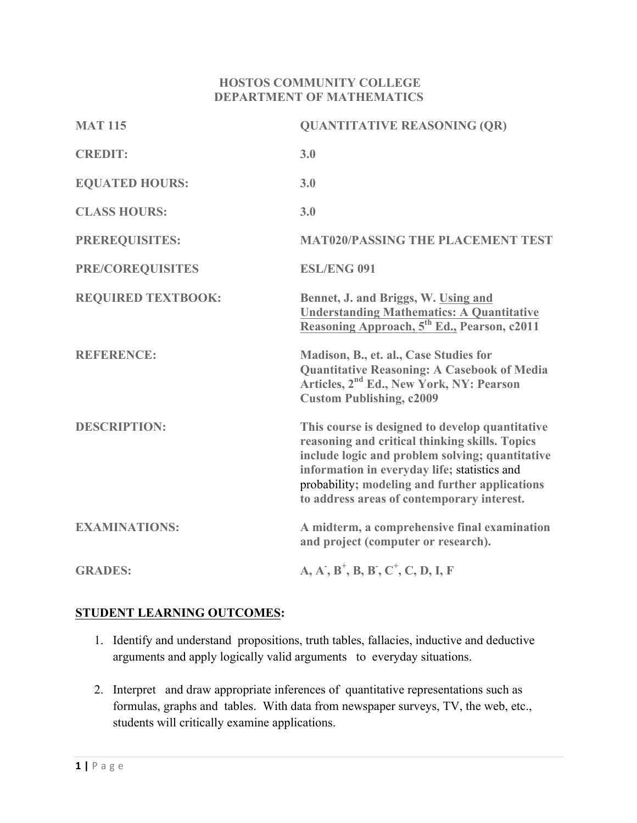## **HOSTOS COMMUNITY COLLEGE DEPARTMENT OF MATHEMATICS**

| <b>MAT 115</b>            | <b>QUANTITATIVE REASONING (QR)</b>                                                                                                                                                                                                                                                                   |
|---------------------------|------------------------------------------------------------------------------------------------------------------------------------------------------------------------------------------------------------------------------------------------------------------------------------------------------|
| <b>CREDIT:</b>            | 3.0                                                                                                                                                                                                                                                                                                  |
| <b>EQUATED HOURS:</b>     | 3.0                                                                                                                                                                                                                                                                                                  |
| <b>CLASS HOURS:</b>       | 3.0                                                                                                                                                                                                                                                                                                  |
| PREREQUISITES:            | <b>MAT020/PASSING THE PLACEMENT TEST</b>                                                                                                                                                                                                                                                             |
| PRE/COREQUISITES          | <b>ESL/ENG 091</b>                                                                                                                                                                                                                                                                                   |
| <b>REQUIRED TEXTBOOK:</b> | Bennet, J. and Briggs, W. Using and<br><b>Understanding Mathematics: A Quantitative</b><br>Reasoning Approach, 5 <sup>th</sup> Ed., Pearson, c2011                                                                                                                                                   |
| <b>REFERENCE:</b>         | Madison, B., et. al., Case Studies for<br><b>Quantitative Reasoning: A Casebook of Media</b><br>Articles, 2 <sup>nd</sup> Ed., New York, NY: Pearson<br><b>Custom Publishing, c2009</b>                                                                                                              |
| <b>DESCRIPTION:</b>       | This course is designed to develop quantitative<br>reasoning and critical thinking skills. Topics<br>include logic and problem solving; quantitative<br>information in everyday life; statistics and<br>probability; modeling and further applications<br>to address areas of contemporary interest. |
| <b>EXAMINATIONS:</b>      | A midterm, a comprehensive final examination<br>and project (computer or research).                                                                                                                                                                                                                  |
| <b>GRADES:</b>            | $A, A', B^+, B, B', C^+, C, D, I, F$                                                                                                                                                                                                                                                                 |

## **STUDENT LEARNING OUTCOMES:**

- 1. Identify and understand propositions, truth tables, fallacies, inductive and deductive arguments and apply logically valid arguments to everyday situations.
- 2. Interpret and draw appropriate inferences of quantitative representations such as formulas, graphs and tables. With data from newspaper surveys, TV, the web, etc., students will critically examine applications.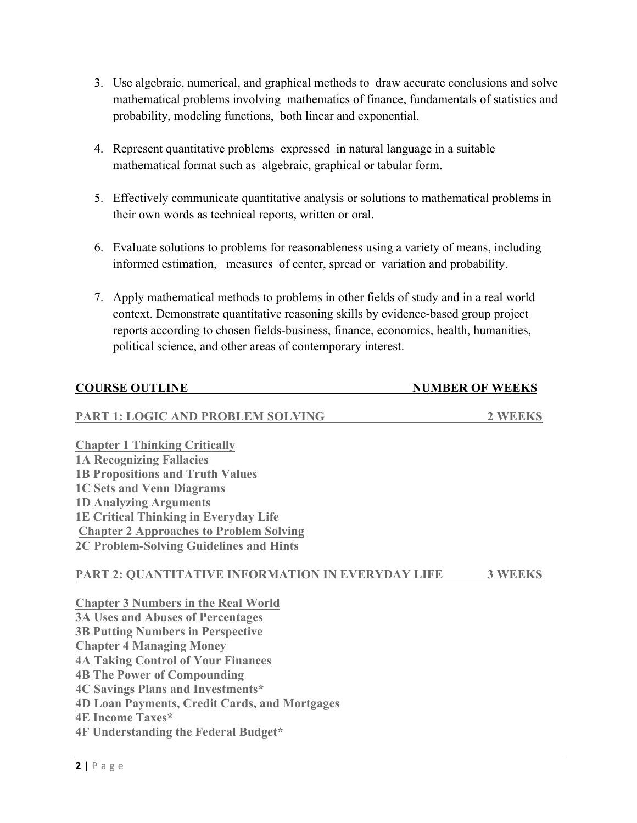- 3. Use algebraic, numerical, and graphical methods to draw accurate conclusions and solve mathematical problems involving mathematics of finance, fundamentals of statistics and probability, modeling functions, both linear and exponential.
- 4. Represent quantitative problems expressed in natural language in a suitable mathematical format such as algebraic, graphical or tabular form.
- 5. Effectively communicate quantitative analysis or solutions to mathematical problems in their own words as technical reports, written or oral.
- 6. Evaluate solutions to problems for reasonableness using a variety of means, including informed estimation, measures of center, spread or variation and probability.
- 7. Apply mathematical methods to problems in other fields of study and in a real world context. Demonstrate quantitative reasoning skills by evidence-based group project reports according to chosen fields-business, finance, economics, health, humanities, political science, and other areas of contemporary interest.

## **COURSE OUTLINE NUMBER OF WEEKS**

| <b>PART 1: LOGIC AND PROBLEM SOLVING</b> | 2 WEEKS |
|------------------------------------------|---------|
|                                          |         |

**Chapter 1 Thinking Critically 1A Recognizing Fallacies 1B Propositions and Truth Values 1C Sets and Venn Diagrams 1D Analyzing Arguments 1E Critical Thinking in Everyday Life Chapter 2 Approaches to Problem Solving 2C Problem-Solving Guidelines and Hints**

## **PART 2: QUANTITATIVE INFORMATION IN EVERYDAY LIFE 3 WEEKS**

**Chapter 3 Numbers in the Real World 3A Uses and Abuses of Percentages 3B Putting Numbers in Perspective Chapter 4 Managing Money 4A Taking Control of Your Finances 4B The Power of Compounding 4C Savings Plans and Investments\* 4D Loan Payments, Credit Cards, and Mortgages 4E Income Taxes\* 4F Understanding the Federal Budget\***